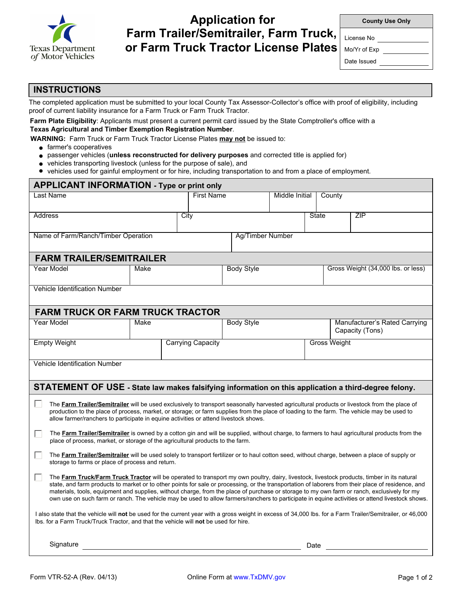

# **Application for Farm Trailer/Semitrailer, Farm Truck, or Farm Truck Tractor License Plates**

| <b>County Use Only</b> |  |  |
|------------------------|--|--|
|------------------------|--|--|

License No

Mo/Yr of Exp

Date Issued

### **INSTRUCTIONS**

The completed application must be submitted to your local County Tax Assessor-Collector's office with proof of eligibility, including proof of current liability insurance for a Farm Truck or Farm Truck Tractor.

#### **Farm Plate Eligibility**: Applicants must present a current permit card issued by the State Comptroller's office with a **Texas Agricultural and Timber Exemption Registration Number**.

 **WARNING:** Farm Truck or Farm Truck Tractor License Plates **may not** be issued to:

- **e** farmer's cooperatives
- passenger vehicles (**unless reconstructed for delivery purposes** and corrected title is applied for)
- vehicles transporting livestock (unless for the purpose of sale), and
- vehicles used for gainful employment or for hire, including transportation to and from a place of employment.

| <b>APPLICANT INFORMATION - Type or print only</b>                                                                                                                                                                                                                                                                                                                                                                                                                                                                                                                                                                   |                          |                   |      |                   |                     |      |                                                  |                                    |  |  |  |
|---------------------------------------------------------------------------------------------------------------------------------------------------------------------------------------------------------------------------------------------------------------------------------------------------------------------------------------------------------------------------------------------------------------------------------------------------------------------------------------------------------------------------------------------------------------------------------------------------------------------|--------------------------|-------------------|------|-------------------|---------------------|------|--------------------------------------------------|------------------------------------|--|--|--|
| Last Name                                                                                                                                                                                                                                                                                                                                                                                                                                                                                                                                                                                                           |                          | <b>First Name</b> |      |                   | Middle Initial      |      | County                                           |                                    |  |  |  |
| Address                                                                                                                                                                                                                                                                                                                                                                                                                                                                                                                                                                                                             |                          |                   | City |                   | <b>State</b>        |      |                                                  | ZIP                                |  |  |  |
| Name of Farm/Ranch/Timber Operation                                                                                                                                                                                                                                                                                                                                                                                                                                                                                                                                                                                 |                          | Ag/Timber Number  |      |                   |                     |      |                                                  |                                    |  |  |  |
| <b>FARM TRAILER/SEMITRAILER</b>                                                                                                                                                                                                                                                                                                                                                                                                                                                                                                                                                                                     |                          |                   |      |                   |                     |      |                                                  |                                    |  |  |  |
| Year Model                                                                                                                                                                                                                                                                                                                                                                                                                                                                                                                                                                                                          | Make                     |                   |      | <b>Body Style</b> |                     |      |                                                  | Gross Weight (34,000 lbs. or less) |  |  |  |
| <b>Vehicle Identification Number</b>                                                                                                                                                                                                                                                                                                                                                                                                                                                                                                                                                                                |                          |                   |      |                   |                     |      |                                                  |                                    |  |  |  |
| <b>FARM TRUCK OR FARM TRUCK TRACTOR</b>                                                                                                                                                                                                                                                                                                                                                                                                                                                                                                                                                                             |                          |                   |      |                   |                     |      |                                                  |                                    |  |  |  |
| Year Model                                                                                                                                                                                                                                                                                                                                                                                                                                                                                                                                                                                                          | Make                     |                   |      | <b>Body Style</b> |                     |      | Manufacturer's Rated Carrying<br>Capacity (Tons) |                                    |  |  |  |
| <b>Empty Weight</b>                                                                                                                                                                                                                                                                                                                                                                                                                                                                                                                                                                                                 | <b>Carrying Capacity</b> |                   |      |                   | <b>Gross Weight</b> |      |                                                  |                                    |  |  |  |
| Vehicle Identification Number                                                                                                                                                                                                                                                                                                                                                                                                                                                                                                                                                                                       |                          |                   |      |                   |                     |      |                                                  |                                    |  |  |  |
| STATEMENT OF USE - State law makes falsifying information on this application a third-degree felony.                                                                                                                                                                                                                                                                                                                                                                                                                                                                                                                |                          |                   |      |                   |                     |      |                                                  |                                    |  |  |  |
| $\mathbf{L}$<br>The Farm Trailer/Semitrailer will be used exclusively to transport seasonally harvested agricultural products or livestock from the place of<br>production to the place of process, market, or storage; or farm supplies from the place of loading to the farm. The vehicle may be used to<br>allow farmer/ranchers to participate in equine activities or attend livestock shows.                                                                                                                                                                                                                  |                          |                   |      |                   |                     |      |                                                  |                                    |  |  |  |
| The <b>Farm Trailer/Semitrailer</b> is owned by a cotton gin and will be supplied, without charge, to farmers to haul agricultural products from the<br>$\mathbf{L}$<br>place of process, market, or storage of the agricultural products to the farm.                                                                                                                                                                                                                                                                                                                                                              |                          |                   |      |                   |                     |      |                                                  |                                    |  |  |  |
| The Farm Trailer/Semitrailer will be used solely to transport fertilizer or to haul cotton seed, without charge, between a place of supply or<br>H<br>storage to farms or place of process and return.                                                                                                                                                                                                                                                                                                                                                                                                              |                          |                   |      |                   |                     |      |                                                  |                                    |  |  |  |
| The Farm Truck/Farm Truck Tractor will be operated to transport my own poultry, dairy, livestock, livestock products, timber in its natural<br>$\mathbf{L}$<br>state, and farm products to market or to other points for sale or processing, or the transportation of laborers from their place of residence, and<br>materials, tools, equipment and supplies, without charge, from the place of purchase or storage to my own farm or ranch, exclusively for my<br>own use on such farm or ranch. The vehicle may be used to allow farmers/ranchers to participate in equine activities or attend livestock shows. |                          |                   |      |                   |                     |      |                                                  |                                    |  |  |  |
| I also state that the vehicle will not be used for the current year with a gross weight in excess of 34,000 lbs. for a Farm Trailer/Semitrailer, or 46,000<br>Ibs. for a Farm Truck/Truck Tractor, and that the vehicle will not be used for hire.                                                                                                                                                                                                                                                                                                                                                                  |                          |                   |      |                   |                     |      |                                                  |                                    |  |  |  |
| Signature                                                                                                                                                                                                                                                                                                                                                                                                                                                                                                                                                                                                           |                          |                   |      |                   |                     | Date |                                                  |                                    |  |  |  |